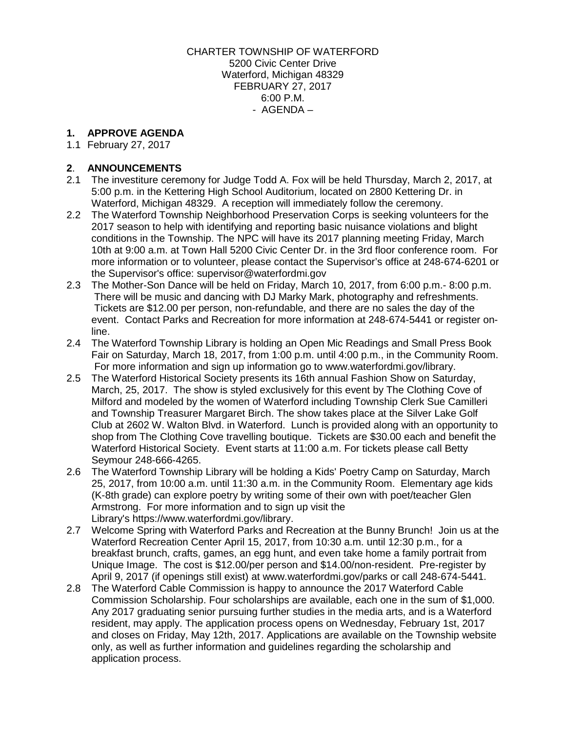#### CHARTER TOWNSHIP OF WATERFORD 5200 Civic Center Drive Waterford, Michigan 48329 FEBRUARY 27, 2017 6:00 P.M. - AGENDA –

## **1. APPROVE AGENDA**

1.1 February 27, 2017

### **2**. **ANNOUNCEMENTS**

- 2.1 The investiture ceremony for Judge Todd A. Fox will be held Thursday, March 2, 2017, at 5:00 p.m. in the Kettering High School Auditorium, located on 2800 Kettering Dr. in Waterford, Michigan 48329. A reception will immediately follow the ceremony.
- 2.2 The Waterford Township Neighborhood Preservation Corps is seeking volunteers for the 2017 season to help with identifying and reporting basic nuisance violations and blight conditions in the Township. The NPC will have its 2017 planning meeting Friday, March 10th at 9:00 a.m. at Town Hall 5200 Civic Center Dr. in the 3rd floor conference room. For more information or to volunteer, please contact the Supervisor's office at 248-674-6201 or the Supervisor's office: [supervisor@waterfordmi.gov](mailto:supervisor@waterfordmi.gov)
- 2.3 The Mother-Son Dance will be held on Friday, March 10, 2017, from 6:00 p.m.- 8:00 p.m. There will be music and dancing with DJ Marky Mark, photography and refreshments. Tickets are \$12.00 per person, non-refundable, and there are no sales the day of the event. Contact Parks and Recreation for more information at 248-674-5441 or register [on](http://webtrac.twp.waterford.mi.us/wbwsc/webtrac.wsc/wbsplash.html?wbp=1)[line.](http://webtrac.twp.waterford.mi.us/wbwsc/webtrac.wsc/wbsplash.html?wbp=1)
- 2.4 The Waterford Township Library is holding an Open Mic Readings and Small Press Book Fair on Saturday, March 18, 2017, from 1:00 p.m. until 4:00 p.m., in the Community Room. For more information and sign up information go to www.waterfordmi.gov/library.
- 2.5 The Waterford Historical Society presents its 16th annual Fashion Show on Saturday, March, 25, 2017. The show is styled exclusively for this event by The Clothing Cove of Milford and modeled by the women of Waterford including Township Clerk Sue Camilleri and Township Treasurer Margaret Birch. The show takes place at the Silver Lake Golf Club at 2602 W. Walton Blvd. in Waterford. Lunch is provided along with an opportunity to shop from The Clothing Cove travelling boutique. Tickets are \$30.00 each and benefit the Waterford Historical Society. Event starts at 11:00 a.m. For tickets please call Betty Seymour 248-666-4265.
- 2.6 The Waterford Township Library will be holding a Kids' Poetry Camp on Saturday, March 25, 2017, from 10:00 a.m. until 11:30 a.m. in the Community Room. Elementary age kids (K-8th grade) can explore poetry by writing some of their own with poet/teacher Glen Armstrong. For more information and to sign up visit the Library's [https://www.waterfordmi.gov/library.](https://www.waterfordmi.gov/library)
- 2.7 Welcome Spring with Waterford Parks and Recreation at the Bunny Brunch! Join us at the Waterford Recreation Center April 15, 2017, from 10:30 a.m. until 12:30 p.m., for a breakfast brunch, crafts, games, an egg hunt, and even take home a family portrait from Unique Image. The cost is \$12.00/per person and \$14.00/non-resident. Pre-register by April 9, 2017 (if openings still exist) at [www.waterfordmi.gov/parks or call 248-674-5441.](http://www.waterfordmi.gov/parks%20or%20call%20248-674-5441)
- 2.8 The Waterford Cable Commission is happy to announce the 2017 Waterford Cable Commission Scholarship. Four scholarships are available, each one in the sum of \$1,000. Any 2017 graduating senior pursuing further studies in the media arts, and is a Waterford resident, may apply. The application process opens on Wednesday, February 1st, 2017 and closes on Friday, May 12th, 2017. Applications are available on the Township website only, as well as further information and guidelines regarding the scholarship and application process.